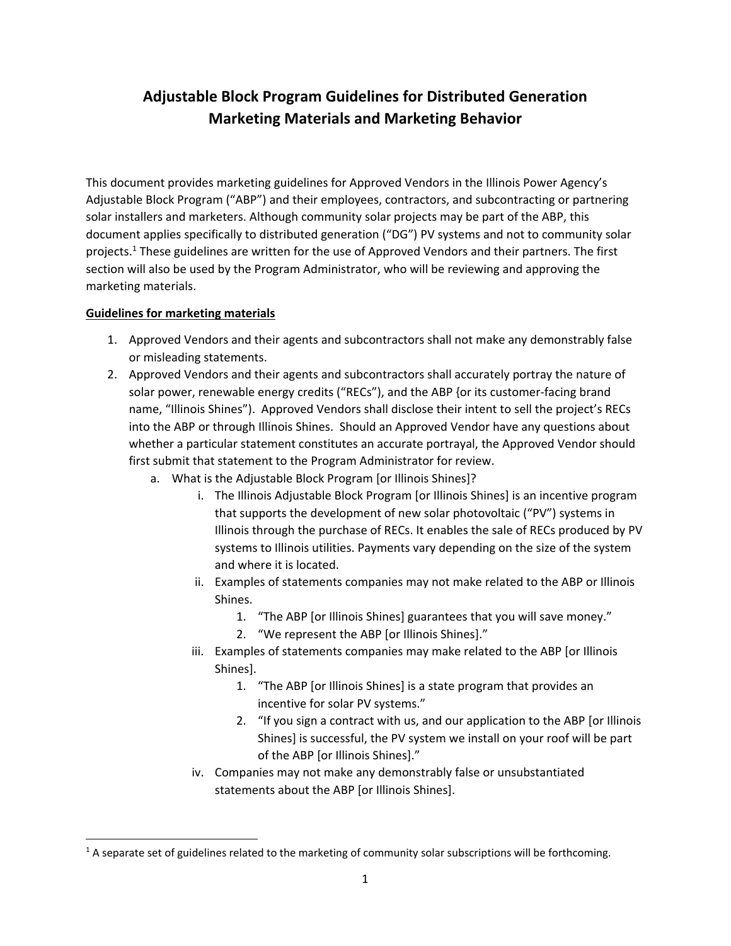# **Adjustable Block Program Guidelines for Distributed Generation Marketing Materials and Marketing Behavior**

This document provides marketing guidelines for Approved Vendors in the Illinois Power Agency's Adjustable Block Program ("ABP") and their employees, contractors, and subcontracting or partnering solar installers and marketers. Although community solar projects may be part of the ABP, this document applies specifically to distributed generation ("DG") PV systems and not to community solar projects.<sup>1</sup> These guidelines are written for the use of Approved Vendors and their partners. The first section will also be used by the Program Administrator, who will be reviewing and approving the marketing materials.

### **Guidelines for marketing materials**

- 1. Approved Vendors and their agents and subcontractors shall not make any demonstrably false or misleading statements.
- 2. Approved Vendors and their agents and subcontractors shall accurately portray the nature of solar power, renewable energy credits ("RECs"), and the ABP {or its customer-facing brand name, "Illinois Shines"). Approved Vendors shall disclose their intent to sell the project's RECs into the ABP or through Illinois Shines. Should an Approved Vendor have any questions about whether a particular statement constitutes an accurate portrayal, the Approved Vendor should first submit that statement to the Program Administrator for review.
	- a. What is the Adjustable Block Program [or Illinois Shines]?
		- i. The Illinois Adjustable Block Program [or Illinois Shines] is an incentive program that supports the development of new solar photovoltaic ("PV") systems in Illinois through the purchase of RECs. It enables the sale of RECs produced by PV systems to Illinois utilities. Payments vary depending on the size of the system and where it is located.
		- ii. Examples of statements companies may not make related to the ABP or Illinois Shines.
			- 1. "The ABP [or Illinois Shines] guarantees that you will save money."
			- 2. "We represent the ABP [or Illinois Shines]."
		- iii. Examples of statements companies may make related to the ABP [or Illinois Shines].
			- 1. "The ABP [or Illinois Shines] is a state program that provides an incentive for solar PV systems."
			- 2. "If you sign a contract with us, and our application to the ABP [or Illinois Shines] is successful, the PV system we install on your roof will be part of the ABP [or Illinois Shines]."
		- iv. Companies may not make any demonstrably false or unsubstantiated statements about the ABP [or Illinois Shines].

 $<sup>1</sup>$  A separate set of guidelines related to the marketing of community solar subscriptions will be forthcoming.</sup>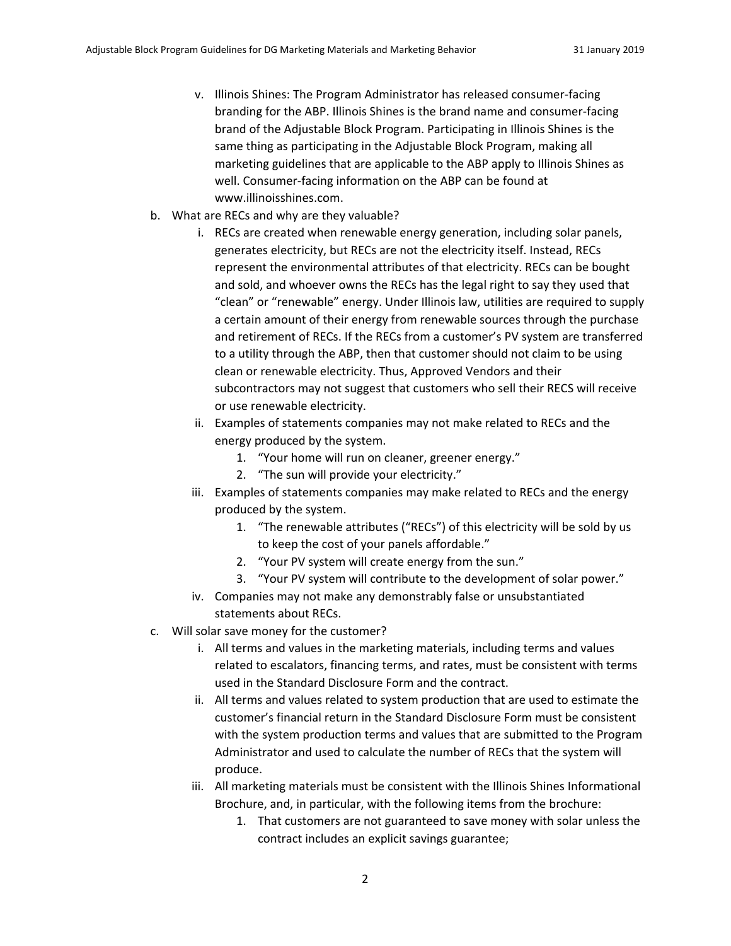- v. Illinois Shines: The Program Administrator has released consumer‐facing branding for the ABP. Illinois Shines is the brand name and consumer‐facing brand of the Adjustable Block Program. Participating in Illinois Shines is the same thing as participating in the Adjustable Block Program, making all marketing guidelines that are applicable to the ABP apply to Illinois Shines as well. Consumer-facing information on the ABP can be found at www.illinoisshines.com.
- b. What are RECs and why are they valuable?
	- i. RECs are created when renewable energy generation, including solar panels, generates electricity, but RECs are not the electricity itself. Instead, RECs represent the environmental attributes of that electricity. RECs can be bought and sold, and whoever owns the RECs has the legal right to say they used that "clean" or "renewable" energy. Under Illinois law, utilities are required to supply a certain amount of their energy from renewable sources through the purchase and retirement of RECs. If the RECs from a customer's PV system are transferred to a utility through the ABP, then that customer should not claim to be using clean or renewable electricity. Thus, Approved Vendors and their subcontractors may not suggest that customers who sell their RECS will receive or use renewable electricity.
	- ii. Examples of statements companies may not make related to RECs and the energy produced by the system.
		- 1. "Your home will run on cleaner, greener energy."
		- 2. "The sun will provide your electricity."
	- iii. Examples of statements companies may make related to RECs and the energy produced by the system.
		- 1. "The renewable attributes ("RECs") of this electricity will be sold by us to keep the cost of your panels affordable."
		- 2. "Your PV system will create energy from the sun."
		- 3. "Your PV system will contribute to the development of solar power."
	- iv. Companies may not make any demonstrably false or unsubstantiated statements about RECs.
- c. Will solar save money for the customer?
	- i. All terms and values in the marketing materials, including terms and values related to escalators, financing terms, and rates, must be consistent with terms used in the Standard Disclosure Form and the contract.
	- ii. All terms and values related to system production that are used to estimate the customer's financial return in the Standard Disclosure Form must be consistent with the system production terms and values that are submitted to the Program Administrator and used to calculate the number of RECs that the system will produce.
	- iii. All marketing materials must be consistent with the Illinois Shines Informational Brochure, and, in particular, with the following items from the brochure:
		- 1. That customers are not guaranteed to save money with solar unless the contract includes an explicit savings guarantee;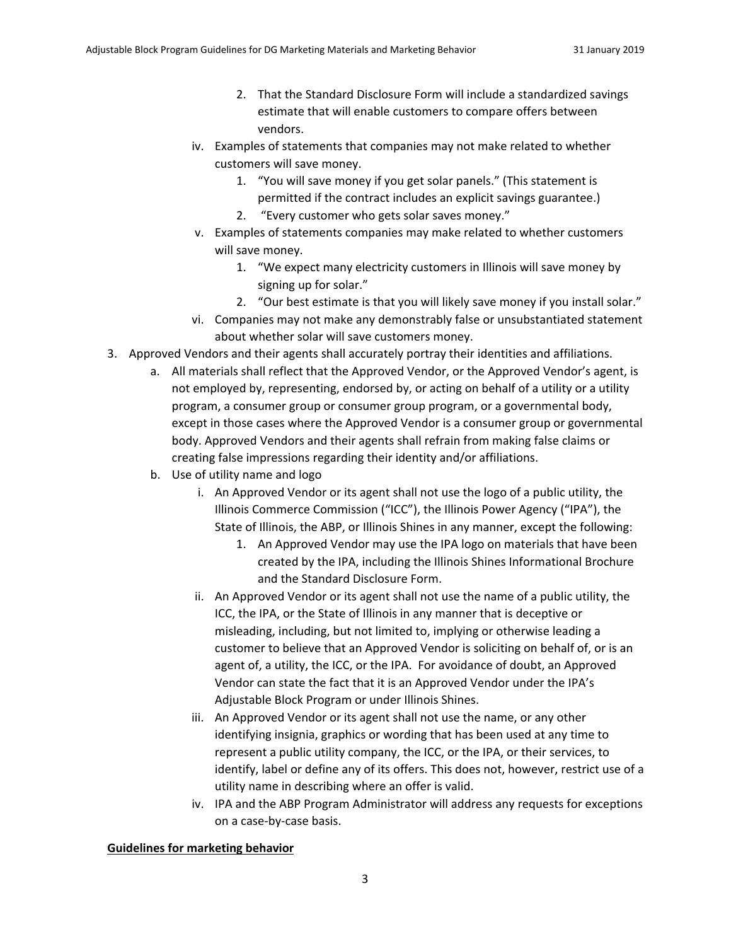- 2. That the Standard Disclosure Form will include a standardized savings estimate that will enable customers to compare offers between vendors.
- iv. Examples of statements that companies may not make related to whether customers will save money.
	- 1. "You will save money if you get solar panels." (This statement is permitted if the contract includes an explicit savings guarantee.)
	- 2. "Every customer who gets solar saves money."
- v. Examples of statements companies may make related to whether customers will save money.
	- 1. "We expect many electricity customers in Illinois will save money by signing up for solar."
	- 2. "Our best estimate is that you will likely save money if you install solar."
- vi. Companies may not make any demonstrably false or unsubstantiated statement about whether solar will save customers money.
- 3. Approved Vendors and their agents shall accurately portray their identities and affiliations.
	- a. All materials shall reflect that the Approved Vendor, or the Approved Vendor's agent, is not employed by, representing, endorsed by, or acting on behalf of a utility or a utility program, a consumer group or consumer group program, or a governmental body, except in those cases where the Approved Vendor is a consumer group or governmental body. Approved Vendors and their agents shall refrain from making false claims or creating false impressions regarding their identity and/or affiliations.
	- b. Use of utility name and logo
		- i. An Approved Vendor or its agent shall not use the logo of a public utility, the Illinois Commerce Commission ("ICC"), the Illinois Power Agency ("IPA"), the State of Illinois, the ABP, or Illinois Shines in any manner, except the following:
			- 1. An Approved Vendor may use the IPA logo on materials that have been created by the IPA, including the Illinois Shines Informational Brochure and the Standard Disclosure Form.
		- ii. An Approved Vendor or its agent shall not use the name of a public utility, the ICC, the IPA, or the State of Illinois in any manner that is deceptive or misleading, including, but not limited to, implying or otherwise leading a customer to believe that an Approved Vendor is soliciting on behalf of, or is an agent of, a utility, the ICC, or the IPA. For avoidance of doubt, an Approved Vendor can state the fact that it is an Approved Vendor under the IPA's Adjustable Block Program or under Illinois Shines.
		- iii. An Approved Vendor or its agent shall not use the name, or any other identifying insignia, graphics or wording that has been used at any time to represent a public utility company, the ICC, or the IPA, or their services, to identify, label or define any of its offers. This does not, however, restrict use of a utility name in describing where an offer is valid.
		- iv. IPA and the ABP Program Administrator will address any requests for exceptions on a case‐by‐case basis.

#### **Guidelines for marketing behavior**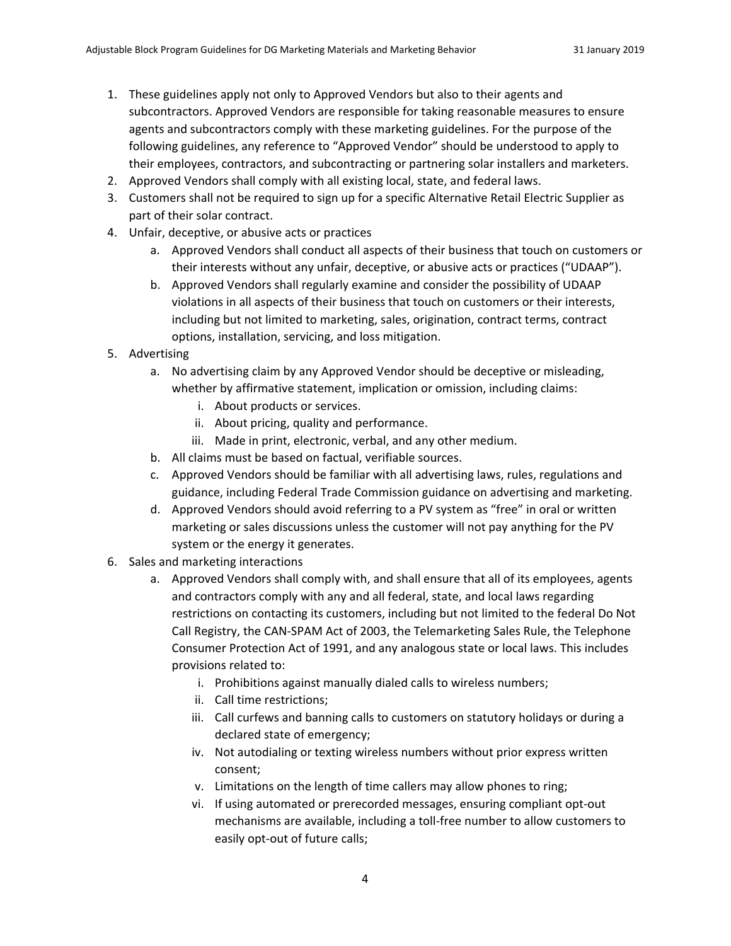- 1. These guidelines apply not only to Approved Vendors but also to their agents and subcontractors. Approved Vendors are responsible for taking reasonable measures to ensure agents and subcontractors comply with these marketing guidelines. For the purpose of the following guidelines, any reference to "Approved Vendor" should be understood to apply to their employees, contractors, and subcontracting or partnering solar installers and marketers.
- 2. Approved Vendors shall comply with all existing local, state, and federal laws.
- 3. Customers shall not be required to sign up for a specific Alternative Retail Electric Supplier as part of their solar contract.
- 4. Unfair, deceptive, or abusive acts or practices
	- a. Approved Vendors shall conduct all aspects of their business that touch on customers or their interests without any unfair, deceptive, or abusive acts or practices ("UDAAP").
	- b. Approved Vendors shall regularly examine and consider the possibility of UDAAP violations in all aspects of their business that touch on customers or their interests, including but not limited to marketing, sales, origination, contract terms, contract options, installation, servicing, and loss mitigation.
- 5. Advertising
	- a. No advertising claim by any Approved Vendor should be deceptive or misleading, whether by affirmative statement, implication or omission, including claims:
		- i. About products or services.
		- ii. About pricing, quality and performance.
		- iii. Made in print, electronic, verbal, and any other medium.
	- b. All claims must be based on factual, verifiable sources.
	- c. Approved Vendors should be familiar with all advertising laws, rules, regulations and guidance, including Federal Trade Commission guidance on advertising and marketing.
	- d. Approved Vendors should avoid referring to a PV system as "free" in oral or written marketing or sales discussions unless the customer will not pay anything for the PV system or the energy it generates.
- 6. Sales and marketing interactions
	- a. Approved Vendors shall comply with, and shall ensure that all of its employees, agents and contractors comply with any and all federal, state, and local laws regarding restrictions on contacting its customers, including but not limited to the federal Do Not Call Registry, the CAN‐SPAM Act of 2003, the Telemarketing Sales Rule, the Telephone Consumer Protection Act of 1991, and any analogous state or local laws. This includes provisions related to:
		- i. Prohibitions against manually dialed calls to wireless numbers;
		- ii. Call time restrictions;
		- iii. Call curfews and banning calls to customers on statutory holidays or during a declared state of emergency;
		- iv. Not autodialing or texting wireless numbers without prior express written consent;
		- v. Limitations on the length of time callers may allow phones to ring;
		- vi. If using automated or prerecorded messages, ensuring compliant opt‐out mechanisms are available, including a toll‐free number to allow customers to easily opt‐out of future calls;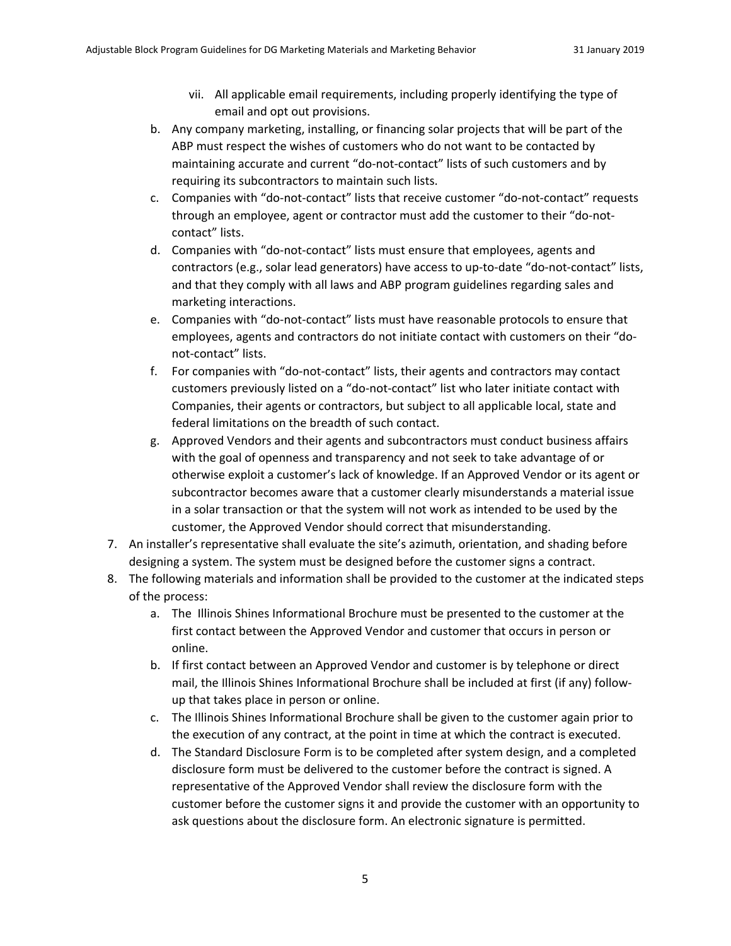- vii. All applicable email requirements, including properly identifying the type of email and opt out provisions.
- b. Any company marketing, installing, or financing solar projects that will be part of the ABP must respect the wishes of customers who do not want to be contacted by maintaining accurate and current "do-not-contact" lists of such customers and by requiring its subcontractors to maintain such lists.
- c. Companies with "do‐not‐contact" lists that receive customer "do‐not‐contact" requests through an employee, agent or contractor must add the customer to their "do-notcontact" lists.
- d. Companies with "do‐not‐contact" lists must ensure that employees, agents and contractors (e.g., solar lead generators) have access to up-to-date "do-not-contact" lists, and that they comply with all laws and ABP program guidelines regarding sales and marketing interactions.
- e. Companies with "do‐not‐contact" lists must have reasonable protocols to ensure that employees, agents and contractors do not initiate contact with customers on their "donot‐contact" lists.
- f. For companies with "do‐not‐contact" lists, their agents and contractors may contact customers previously listed on a "do‐not‐contact" list who later initiate contact with Companies, their agents or contractors, but subject to all applicable local, state and federal limitations on the breadth of such contact.
- g. Approved Vendors and their agents and subcontractors must conduct business affairs with the goal of openness and transparency and not seek to take advantage of or otherwise exploit a customer's lack of knowledge. If an Approved Vendor or its agent or subcontractor becomes aware that a customer clearly misunderstands a material issue in a solar transaction or that the system will not work as intended to be used by the customer, the Approved Vendor should correct that misunderstanding.
- 7. An installer's representative shall evaluate the site's azimuth, orientation, and shading before designing a system. The system must be designed before the customer signs a contract.
- 8. The following materials and information shall be provided to the customer at the indicated steps of the process:
	- a. The Illinois Shines Informational Brochure must be presented to the customer at the first contact between the Approved Vendor and customer that occurs in person or online.
	- b. If first contact between an Approved Vendor and customer is by telephone or direct mail, the Illinois Shines Informational Brochure shall be included at first (if any) follow‐ up that takes place in person or online.
	- c. The Illinois Shines Informational Brochure shall be given to the customer again prior to the execution of any contract, at the point in time at which the contract is executed.
	- d. The Standard Disclosure Form is to be completed after system design, and a completed disclosure form must be delivered to the customer before the contract is signed. A representative of the Approved Vendor shall review the disclosure form with the customer before the customer signs it and provide the customer with an opportunity to ask questions about the disclosure form. An electronic signature is permitted.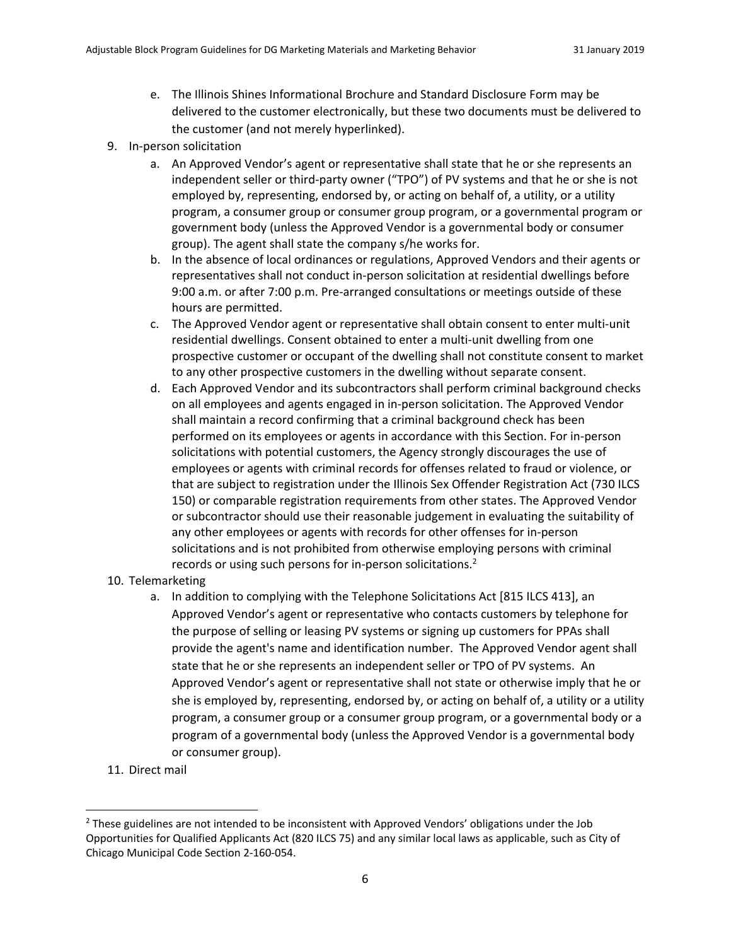- e. The Illinois Shines Informational Brochure and Standard Disclosure Form may be delivered to the customer electronically, but these two documents must be delivered to the customer (and not merely hyperlinked).
- 9. In‐person solicitation
	- a. An Approved Vendor's agent or representative shall state that he or she represents an independent seller or third-party owner ("TPO") of PV systems and that he or she is not employed by, representing, endorsed by, or acting on behalf of, a utility, or a utility program, a consumer group or consumer group program, or a governmental program or government body (unless the Approved Vendor is a governmental body or consumer group). The agent shall state the company s/he works for.
	- b. In the absence of local ordinances or regulations, Approved Vendors and their agents or representatives shall not conduct in‐person solicitation at residential dwellings before 9:00 a.m. or after 7:00 p.m. Pre‐arranged consultations or meetings outside of these hours are permitted.
	- c. The Approved Vendor agent or representative shall obtain consent to enter multi‐unit residential dwellings. Consent obtained to enter a multi‐unit dwelling from one prospective customer or occupant of the dwelling shall not constitute consent to market to any other prospective customers in the dwelling without separate consent.
	- d. Each Approved Vendor and its subcontractors shall perform criminal background checks on all employees and agents engaged in in‐person solicitation. The Approved Vendor shall maintain a record confirming that a criminal background check has been performed on its employees or agents in accordance with this Section. For in‐person solicitations with potential customers, the Agency strongly discourages the use of employees or agents with criminal records for offenses related to fraud or violence, or that are subject to registration under the Illinois Sex Offender Registration Act (730 ILCS 150) or comparable registration requirements from other states. The Approved Vendor or subcontractor should use their reasonable judgement in evaluating the suitability of any other employees or agents with records for other offenses for in‐person solicitations and is not prohibited from otherwise employing persons with criminal records or using such persons for in-person solicitations.<sup>2</sup>
- 10. Telemarketing
	- a. In addition to complying with the Telephone Solicitations Act [815 ILCS 413], an Approved Vendor's agent or representative who contacts customers by telephone for the purpose of selling or leasing PV systems or signing up customers for PPAs shall provide the agent's name and identification number. The Approved Vendor agent shall state that he or she represents an independent seller or TPO of PV systems. An Approved Vendor's agent or representative shall not state or otherwise imply that he or she is employed by, representing, endorsed by, or acting on behalf of, a utility or a utility program, a consumer group or a consumer group program, or a governmental body or a program of a governmental body (unless the Approved Vendor is a governmental body or consumer group).
- 11. Direct mail

 $2$  These guidelines are not intended to be inconsistent with Approved Vendors' obligations under the Job Opportunities for Qualified Applicants Act (820 ILCS 75) and any similar local laws as applicable, such as City of Chicago Municipal Code Section 2‐160‐054.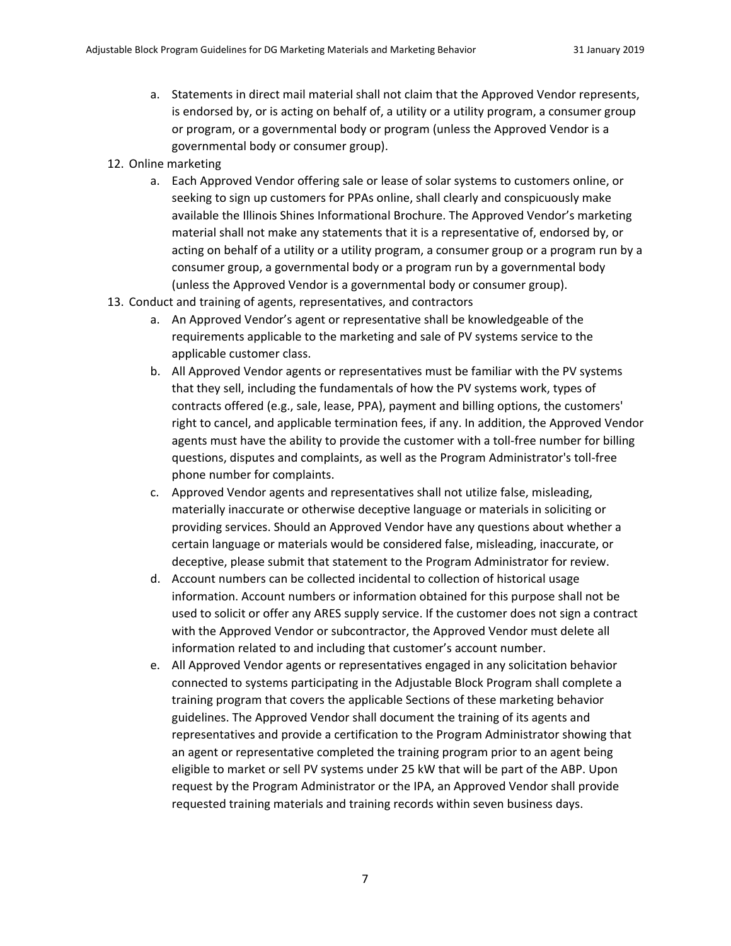- a. Statements in direct mail material shall not claim that the Approved Vendor represents, is endorsed by, or is acting on behalf of, a utility or a utility program, a consumer group or program, or a governmental body or program (unless the Approved Vendor is a governmental body or consumer group).
- 12. Online marketing
	- a. Each Approved Vendor offering sale or lease of solar systems to customers online, or seeking to sign up customers for PPAs online, shall clearly and conspicuously make available the Illinois Shines Informational Brochure. The Approved Vendor's marketing material shall not make any statements that it is a representative of, endorsed by, or acting on behalf of a utility or a utility program, a consumer group or a program run by a consumer group, a governmental body or a program run by a governmental body (unless the Approved Vendor is a governmental body or consumer group).
- 13. Conduct and training of agents, representatives, and contractors
	- a. An Approved Vendor's agent or representative shall be knowledgeable of the requirements applicable to the marketing and sale of PV systems service to the applicable customer class.
	- b. All Approved Vendor agents or representatives must be familiar with the PV systems that they sell, including the fundamentals of how the PV systems work, types of contracts offered (e.g., sale, lease, PPA), payment and billing options, the customers' right to cancel, and applicable termination fees, if any. In addition, the Approved Vendor agents must have the ability to provide the customer with a toll-free number for billing questions, disputes and complaints, as well as the Program Administrator's toll‐free phone number for complaints.
	- c. Approved Vendor agents and representatives shall not utilize false, misleading, materially inaccurate or otherwise deceptive language or materials in soliciting or providing services. Should an Approved Vendor have any questions about whether a certain language or materials would be considered false, misleading, inaccurate, or deceptive, please submit that statement to the Program Administrator for review.
	- d. Account numbers can be collected incidental to collection of historical usage information. Account numbers or information obtained for this purpose shall not be used to solicit or offer any ARES supply service. If the customer does not sign a contract with the Approved Vendor or subcontractor, the Approved Vendor must delete all information related to and including that customer's account number.
	- e. All Approved Vendor agents or representatives engaged in any solicitation behavior connected to systems participating in the Adjustable Block Program shall complete a training program that covers the applicable Sections of these marketing behavior guidelines. The Approved Vendor shall document the training of its agents and representatives and provide a certification to the Program Administrator showing that an agent or representative completed the training program prior to an agent being eligible to market or sell PV systems under 25 kW that will be part of the ABP. Upon request by the Program Administrator or the IPA, an Approved Vendor shall provide requested training materials and training records within seven business days.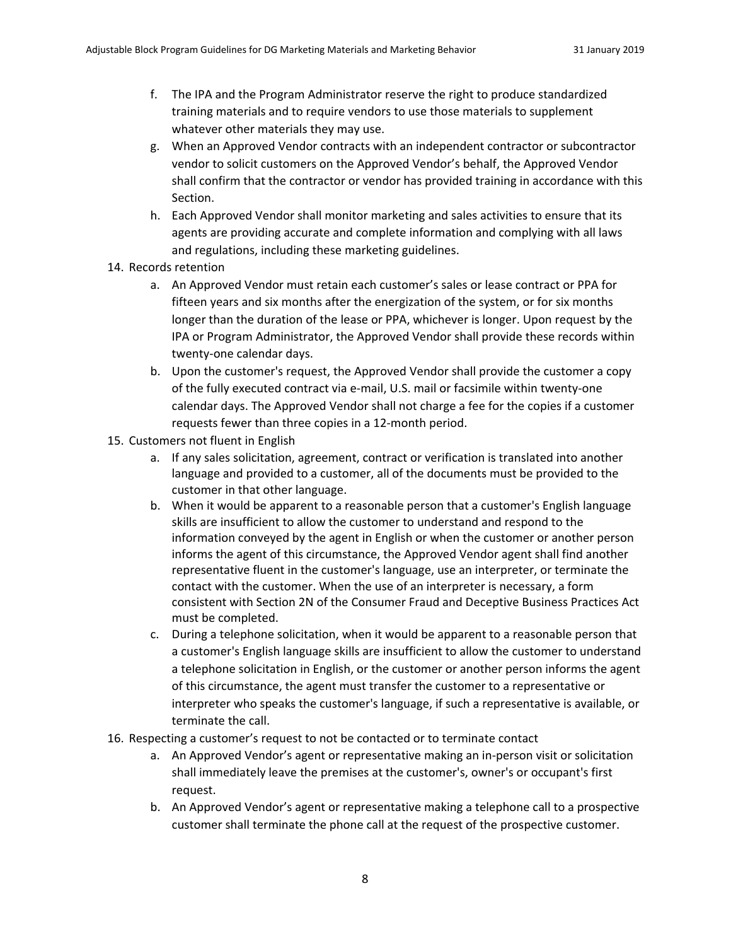- f. The IPA and the Program Administrator reserve the right to produce standardized training materials and to require vendors to use those materials to supplement whatever other materials they may use.
- g. When an Approved Vendor contracts with an independent contractor or subcontractor vendor to solicit customers on the Approved Vendor's behalf, the Approved Vendor shall confirm that the contractor or vendor has provided training in accordance with this Section.
- h. Each Approved Vendor shall monitor marketing and sales activities to ensure that its agents are providing accurate and complete information and complying with all laws and regulations, including these marketing guidelines.
- 14. Records retention
	- a. An Approved Vendor must retain each customer's sales or lease contract or PPA for fifteen years and six months after the energization of the system, or for six months longer than the duration of the lease or PPA, whichever is longer. Upon request by the IPA or Program Administrator, the Approved Vendor shall provide these records within twenty‐one calendar days.
	- b. Upon the customer's request, the Approved Vendor shall provide the customer a copy of the fully executed contract via e‐mail, U.S. mail or facsimile within twenty‐one calendar days. The Approved Vendor shall not charge a fee for the copies if a customer requests fewer than three copies in a 12‐month period.
- 15. Customers not fluent in English
	- a. If any sales solicitation, agreement, contract or verification is translated into another language and provided to a customer, all of the documents must be provided to the customer in that other language.
	- b. When it would be apparent to a reasonable person that a customer's English language skills are insufficient to allow the customer to understand and respond to the information conveyed by the agent in English or when the customer or another person informs the agent of this circumstance, the Approved Vendor agent shall find another representative fluent in the customer's language, use an interpreter, or terminate the contact with the customer. When the use of an interpreter is necessary, a form consistent with Section 2N of the Consumer Fraud and Deceptive Business Practices Act must be completed.
	- c. During a telephone solicitation, when it would be apparent to a reasonable person that a customer's English language skills are insufficient to allow the customer to understand a telephone solicitation in English, or the customer or another person informs the agent of this circumstance, the agent must transfer the customer to a representative or interpreter who speaks the customer's language, if such a representative is available, or terminate the call.
- 16. Respecting a customer's request to not be contacted or to terminate contact
	- a. An Approved Vendor's agent or representative making an in‐person visit or solicitation shall immediately leave the premises at the customer's, owner's or occupant's first request.
	- b. An Approved Vendor's agent or representative making a telephone call to a prospective customer shall terminate the phone call at the request of the prospective customer.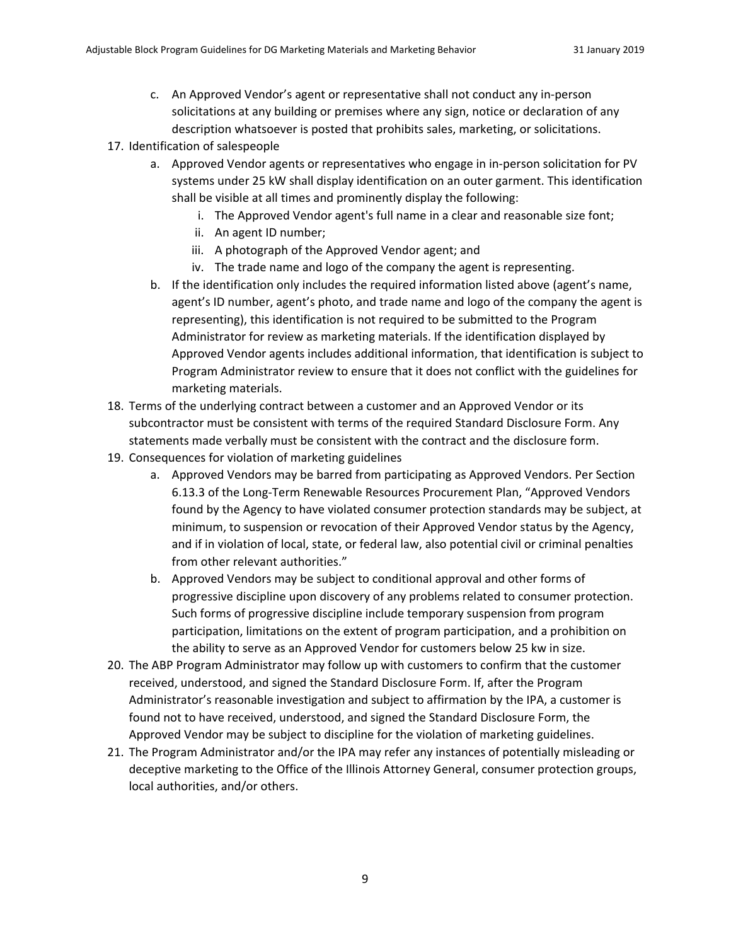- c. An Approved Vendor's agent or representative shall not conduct any in‐person solicitations at any building or premises where any sign, notice or declaration of any description whatsoever is posted that prohibits sales, marketing, or solicitations.
- 17. Identification of salespeople
	- a. Approved Vendor agents or representatives who engage in in‐person solicitation for PV systems under 25 kW shall display identification on an outer garment. This identification shall be visible at all times and prominently display the following:
		- i. The Approved Vendor agent's full name in a clear and reasonable size font;
		- ii. An agent ID number;
		- iii. A photograph of the Approved Vendor agent; and
		- iv. The trade name and logo of the company the agent is representing.
	- b. If the identification only includes the required information listed above (agent's name, agent's ID number, agent's photo, and trade name and logo of the company the agent is representing), this identification is not required to be submitted to the Program Administrator for review as marketing materials. If the identification displayed by Approved Vendor agents includes additional information, that identification is subject to Program Administrator review to ensure that it does not conflict with the guidelines for marketing materials.
- 18. Terms of the underlying contract between a customer and an Approved Vendor or its subcontractor must be consistent with terms of the required Standard Disclosure Form. Any statements made verbally must be consistent with the contract and the disclosure form.
- 19. Consequences for violation of marketing guidelines
	- a. Approved Vendors may be barred from participating as Approved Vendors. Per Section 6.13.3 of the Long‐Term Renewable Resources Procurement Plan, "Approved Vendors found by the Agency to have violated consumer protection standards may be subject, at minimum, to suspension or revocation of their Approved Vendor status by the Agency, and if in violation of local, state, or federal law, also potential civil or criminal penalties from other relevant authorities."
	- b. Approved Vendors may be subject to conditional approval and other forms of progressive discipline upon discovery of any problems related to consumer protection. Such forms of progressive discipline include temporary suspension from program participation, limitations on the extent of program participation, and a prohibition on the ability to serve as an Approved Vendor for customers below 25 kw in size.
- 20. The ABP Program Administrator may follow up with customers to confirm that the customer received, understood, and signed the Standard Disclosure Form. If, after the Program Administrator's reasonable investigation and subject to affirmation by the IPA, a customer is found not to have received, understood, and signed the Standard Disclosure Form, the Approved Vendor may be subject to discipline for the violation of marketing guidelines.
- 21. The Program Administrator and/or the IPA may refer any instances of potentially misleading or deceptive marketing to the Office of the Illinois Attorney General, consumer protection groups, local authorities, and/or others.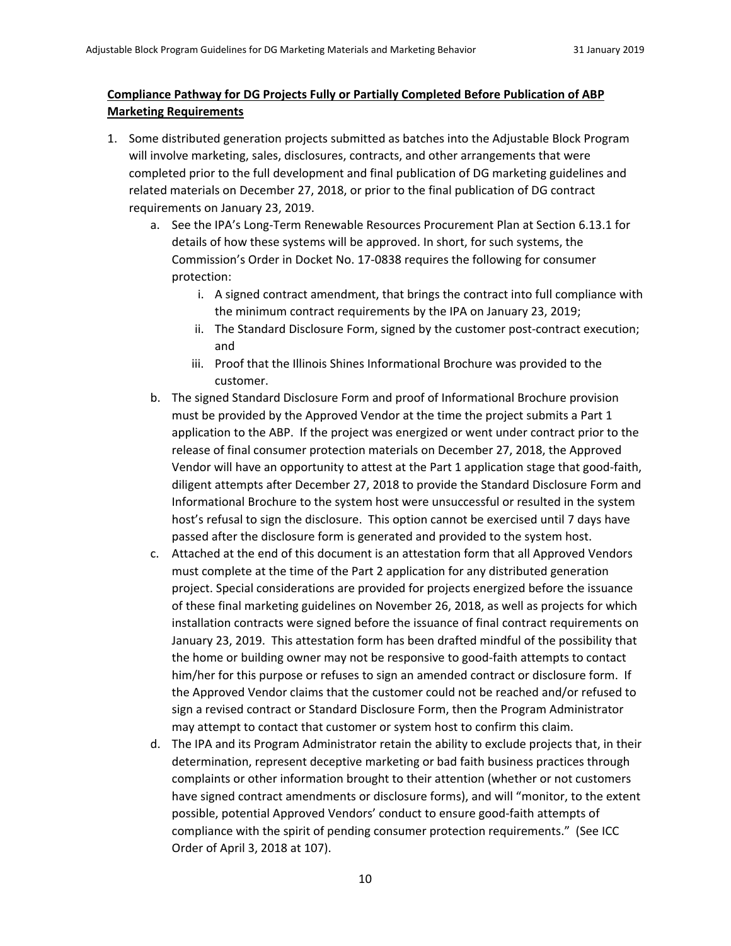## **Compliance Pathway for DG Projects Fully or Partially Completed Before Publication of ABP Marketing Requirements**

- 1. Some distributed generation projects submitted as batches into the Adjustable Block Program will involve marketing, sales, disclosures, contracts, and other arrangements that were completed prior to the full development and final publication of DG marketing guidelines and related materials on December 27, 2018, or prior to the final publication of DG contract requirements on January 23, 2019.
	- a. See the IPA's Long‐Term Renewable Resources Procurement Plan at Section 6.13.1 for details of how these systems will be approved. In short, for such systems, the Commission's Order in Docket No. 17‐0838 requires the following for consumer protection:
		- i. A signed contract amendment, that brings the contract into full compliance with the minimum contract requirements by the IPA on January 23, 2019;
		- ii. The Standard Disclosure Form, signed by the customer post-contract execution; and
		- iii. Proof that the Illinois Shines Informational Brochure was provided to the customer.
	- b. The signed Standard Disclosure Form and proof of Informational Brochure provision must be provided by the Approved Vendor at the time the project submits a Part 1 application to the ABP. If the project was energized or went under contract prior to the release of final consumer protection materials on December 27, 2018, the Approved Vendor will have an opportunity to attest at the Part 1 application stage that good‐faith, diligent attempts after December 27, 2018 to provide the Standard Disclosure Form and Informational Brochure to the system host were unsuccessful or resulted in the system host's refusal to sign the disclosure. This option cannot be exercised until 7 days have passed after the disclosure form is generated and provided to the system host.
	- c. Attached at the end of this document is an attestation form that all Approved Vendors must complete at the time of the Part 2 application for any distributed generation project. Special considerations are provided for projects energized before the issuance of these final marketing guidelines on November 26, 2018, as well as projects for which installation contracts were signed before the issuance of final contract requirements on January 23, 2019. This attestation form has been drafted mindful of the possibility that the home or building owner may not be responsive to good-faith attempts to contact him/her for this purpose or refuses to sign an amended contract or disclosure form. If the Approved Vendor claims that the customer could not be reached and/or refused to sign a revised contract or Standard Disclosure Form, then the Program Administrator may attempt to contact that customer or system host to confirm this claim.
	- d. The IPA and its Program Administrator retain the ability to exclude projects that, in their determination, represent deceptive marketing or bad faith business practices through complaints or other information brought to their attention (whether or not customers have signed contract amendments or disclosure forms), and will "monitor, to the extent possible, potential Approved Vendors' conduct to ensure good‐faith attempts of compliance with the spirit of pending consumer protection requirements." (See ICC Order of April 3, 2018 at 107).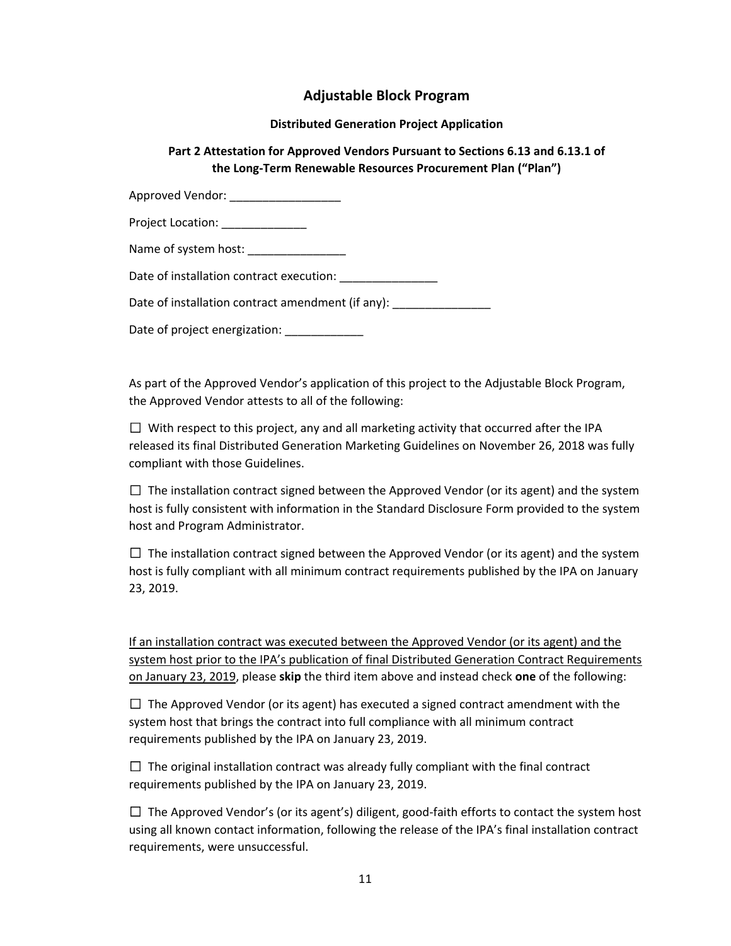# **Adjustable Block Program**

#### **Distributed Generation Project Application**

## **Part 2 Attestation for Approved Vendors Pursuant to Sections 6.13 and 6.13.1 of the Long‐Term Renewable Resources Procurement Plan ("Plan")**

| Approved Vendor: ___________________              |
|---------------------------------------------------|
| Project Location: ______________                  |
| Name of system host: ________________             |
| Date of installation contract execution:          |
| Date of installation contract amendment (if any): |
|                                                   |

Date of project energization:

As part of the Approved Vendor's application of this project to the Adjustable Block Program, the Approved Vendor attests to all of the following:

 $\Box$  With respect to this project, any and all marketing activity that occurred after the IPA released its final Distributed Generation Marketing Guidelines on November 26, 2018 was fully compliant with those Guidelines.

 $\Box$  The installation contract signed between the Approved Vendor (or its agent) and the system host is fully consistent with information in the Standard Disclosure Form provided to the system host and Program Administrator.

 $\Box$  The installation contract signed between the Approved Vendor (or its agent) and the system host is fully compliant with all minimum contract requirements published by the IPA on January 23, 2019.

If an installation contract was executed between the Approved Vendor (or its agent) and the system host prior to the IPA's publication of final Distributed Generation Contract Requirements on January 23, 2019, please **skip** the third item above and instead check **one** of the following:

 $\Box$  The Approved Vendor (or its agent) has executed a signed contract amendment with the system host that brings the contract into full compliance with all minimum contract requirements published by the IPA on January 23, 2019.

 $\Box$  The original installation contract was already fully compliant with the final contract requirements published by the IPA on January 23, 2019.

 $\Box$  The Approved Vendor's (or its agent's) diligent, good-faith efforts to contact the system host using all known contact information, following the release of the IPA's final installation contract requirements, were unsuccessful.